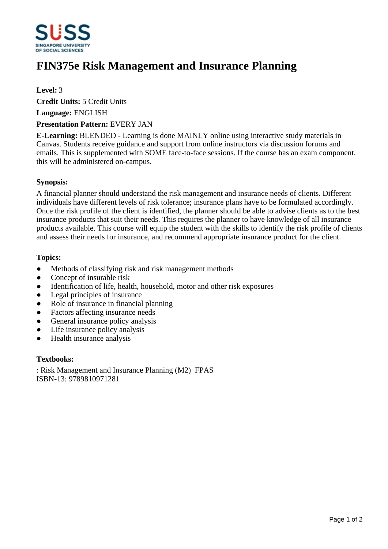

# **FIN375e Risk Management and Insurance Planning**

# **Level:** 3

**Credit Units:** 5 Credit Units

**Language:** ENGLISH

#### **Presentation Pattern:** EVERY JAN

**E-Learning:** BLENDED - Learning is done MAINLY online using interactive study materials in Canvas. Students receive guidance and support from online instructors via discussion forums and emails. This is supplemented with SOME face-to-face sessions. If the course has an exam component, this will be administered on-campus.

### **Synopsis:**

A financial planner should understand the risk management and insurance needs of clients. Different individuals have different levels of risk tolerance; insurance plans have to be formulated accordingly. Once the risk profile of the client is identified, the planner should be able to advise clients as to the best insurance products that suit their needs. This requires the planner to have knowledge of all insurance products available. This course will equip the student with the skills to identify the risk profile of clients and assess their needs for insurance, and recommend appropriate insurance product for the client.

### **Topics:**

- Methods of classifying risk and risk management methods
- Concept of insurable risk
- Identification of life, health, household, motor and other risk exposures
- Legal principles of insurance
- Role of insurance in financial planning
- Factors affecting insurance needs
- General insurance policy analysis
- Life insurance policy analysis
- Health insurance analysis

#### **Textbooks:**

: Risk Management and Insurance Planning (M2) FPAS ISBN-13: 9789810971281